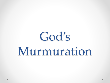# God's Murmuration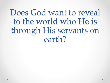## Does God want to reveal to the world who He is through His servants on earth?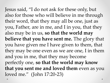Jesus said, "I do not ask for these only, but also for those who will believe in me through their word, that they may all be one, just as you, Father, are in me, and I in you, that they also may be in us, **so that the world may believe that you have sent me.** The glory that you have given me I have given to them, that they may be one even as we are one, I in them and you in me, that they may become perfectly one, **so that the world may know that you sent me and loved them** even as you loved me." (John 17:20-23)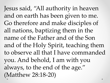Jesus said, "All authority in heaven and on earth has been given to me. Go therefore and make disciples of all nations, baptizing them in the name of the Father and of the Son and of the Holy Spirit, teaching them to observe all that I have commanded you. And behold, I am with you always, to the end of the age." (Matthew 28:18-20)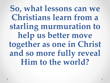**So, what lessons can we Christians learn from a starling murmuration to help us better move together as one in Christ and so more fully reveal Him to the world?**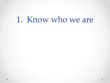#### 1. Know who we are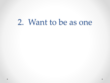#### 2. Want to be as one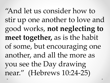"And let us consider how to stir up one another to love and good works, **not neglecting to meet together,** as is the habit of some, but encouraging one another, and all the more as you see the Day drawing near." (Hebrews 10:24-25)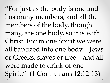"For just as the body is one and has many members, and all the members of the body, though many, are one body, so it is with Christ. For in one Spirit we were all baptized into one body—Jews or Greeks, slaves or free—and all were made to drink of one Spirit." (1 Corinthians 12:12-13)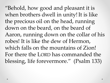"Behold, how good and pleasant it is when brothers dwell in unity! It is like the precious oil on the head, running down on the beard, on the beard of Aaron, running down on the collar of his robes! It is like the dew of Hermon, which falls on the mountains of Zion! For there the LORD has commanded the blessing, life forevermore." (Psalm 133)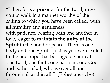"I therefore, a prisoner for the Lord, urge you to walk in a manner worthy of the calling to which you have been called, with all humility and gentleness, with patience, bearing with one another in love, **eager to maintain the unity of the Spirit** in the bond of peace. There is one body and one Spirit—just as you were called to the one hope that belongs to your call one Lord, one faith, one baptism, one God and Father of all, who is over all and through all and in all." (Ephesians 4:1-6)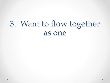### 3. Want to flow together as one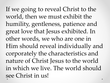If we going to reveal Christ to the world, then we must exhibit the humility, gentleness, patience and great love that Jesus exhibited. In other words, we who are one in Him should reveal individually and corporately the characteristics and nature of Christ Jesus to the world in which we live. The world should see Christ in us!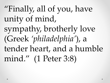"Finally, all of you, have unity of mind, sympathy, brotherly love (Greek *'philadelphia'*), a tender heart, and a humble mind." (1 Peter 3:8)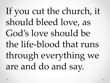If you cut the church, it should bleed love, as God's love should be the life-blood that runs through everything we are and do and say.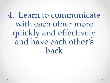4. Learn to communicate with each other more quickly and effectively and have each other's back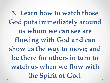**5. Learn how to watch those God puts immediately around us whom we can see are flowing with God and can show us the way to move; and be there for others in turn to watch us when we flow with the Spirit of God.**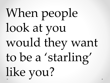# When people look at you would they want to be a 'starling' like you?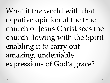What if the world with that negative opinion of the true church of Jesus Christ sees the church flowing with the Spirit enabling it to carry out amazing, undeniable expressions of God's grace?